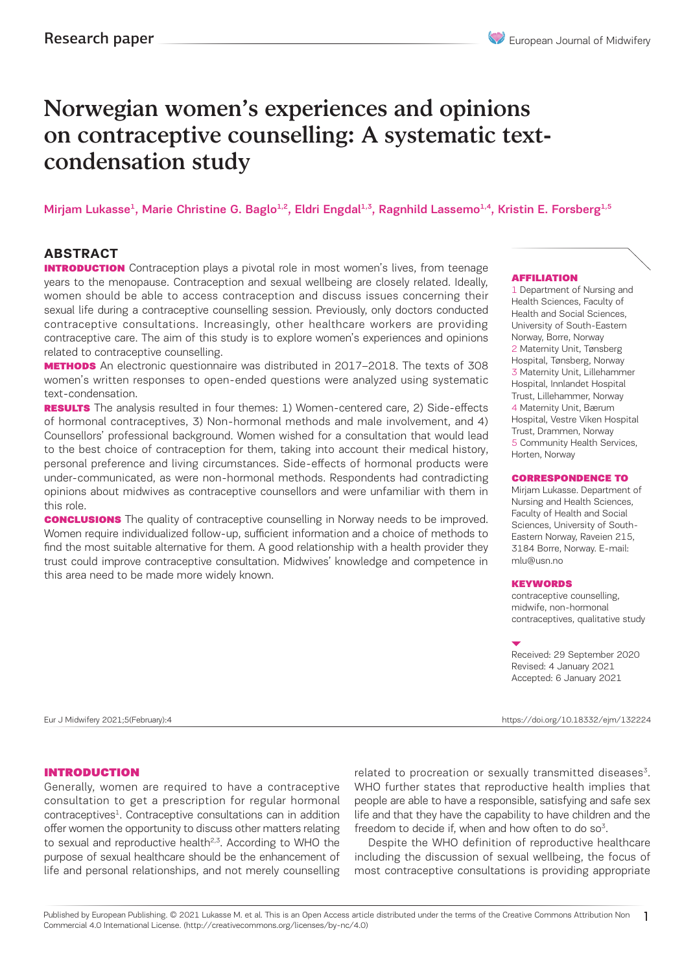# Norwegian women's experiences and opinions on contraceptive counselling: A systematic textcondensation study

Mirjam Lukasse<sup>1</sup>, Marie Christine G. Baglo<sup>1,2</sup>, Eldri Engdal<sup>1,3</sup>, Ragnhild Lassemo<sup>1,4</sup>, Kristin E. Forsberg<sup>1,5</sup>

## **ABSTRACT**

**INTRODUCTION** Contraception plays a pivotal role in most women's lives, from teenage years to the menopause. Contraception and sexual wellbeing are closely related. Ideally, women should be able to access contraception and discuss issues concerning their sexual life during a contraceptive counselling session. Previously, only doctors conducted contraceptive consultations. Increasingly, other healthcare workers are providing contraceptive care. The aim of this study is to explore women's experiences and opinions related to contraceptive counselling.

**METHODS** An electronic questionnaire was distributed in 2017–2018. The texts of 308 women's written responses to open-ended questions were analyzed using systematic text-condensation.

**RESULTS** The analysis resulted in four themes: 1) Women-centered care, 2) Side-effects of hormonal contraceptives, 3) Non-hormonal methods and male involvement, and 4) Counsellors' professional background. Women wished for a consultation that would lead to the best choice of contraception for them, taking into account their medical history, personal preference and living circumstances. Side-effects of hormonal products were under-communicated, as were non-hormonal methods. Respondents had contradicting opinions about midwives as contraceptive counsellors and were unfamiliar with them in this role.

**CONCLUSIONS** The quality of contraceptive counselling in Norway needs to be improved. Women require individualized follow-up, sufficient information and a choice of methods to find the most suitable alternative for them. A good relationship with a health provider they trust could improve contraceptive consultation. Midwives' knowledge and competence in this area need to be made more widely known.

#### AFFILIATION

1 Department of Nursing and Health Sciences, Faculty of Health and Social Sciences, University of South-Eastern Norway, Borre, Norway 2 Maternity Unit, Tønsberg Hospital, Tønsberg, Norway 3 Maternity Unit, Lillehammer Hospital, Innlandet Hospital Trust, Lillehammer, Norway 4 Maternity Unit, Bærum Hospital, Vestre Viken Hospital Trust, Drammen, Norway 5 Community Health Services, Horten, Norway

#### CORRESPONDENCE TO

Mirjam Lukasse. Department of Nursing and Health Sciences, Faculty of Health and Social Sciences, University of South-Eastern Norway, Raveien 215, 3184 Borre, Norway. E-mail: mlu@usn.no

#### KEYWORDS

contraceptive counselling, midwife, non-hormonal contraceptives, qualitative study

Received: 29 September 2020 Revised: 4 January 2021 Accepted: 6 January 2021

#### INTRODUCTION

Generally, women are required to have a contraceptive consultation to get a prescription for regular hormonal contraceptives1. Contraceptive consultations can in addition offer women the opportunity to discuss other matters relating to sexual and reproductive health $2,3$ . According to WHO the purpose of sexual healthcare should be the enhancement of life and personal relationships, and not merely counselling

related to procreation or sexually transmitted diseases $3$ . WHO further states that reproductive health implies that people are able to have a responsible, satisfying and safe sex life and that they have the capability to have children and the freedom to decide if, when and how often to do  $so<sup>3</sup>$ .

Despite the WHO definition of reproductive healthcare including the discussion of sexual wellbeing, the focus of most contraceptive consultations is providing appropriate

1 Published by European Publishing. © 2021 Lukasse M. et al. This is an Open Access article distributed under the terms of the Creative Commons Attribution Non Commercial 4.0 International License. (http://creativecommons.org/licenses/by-nc/4.0)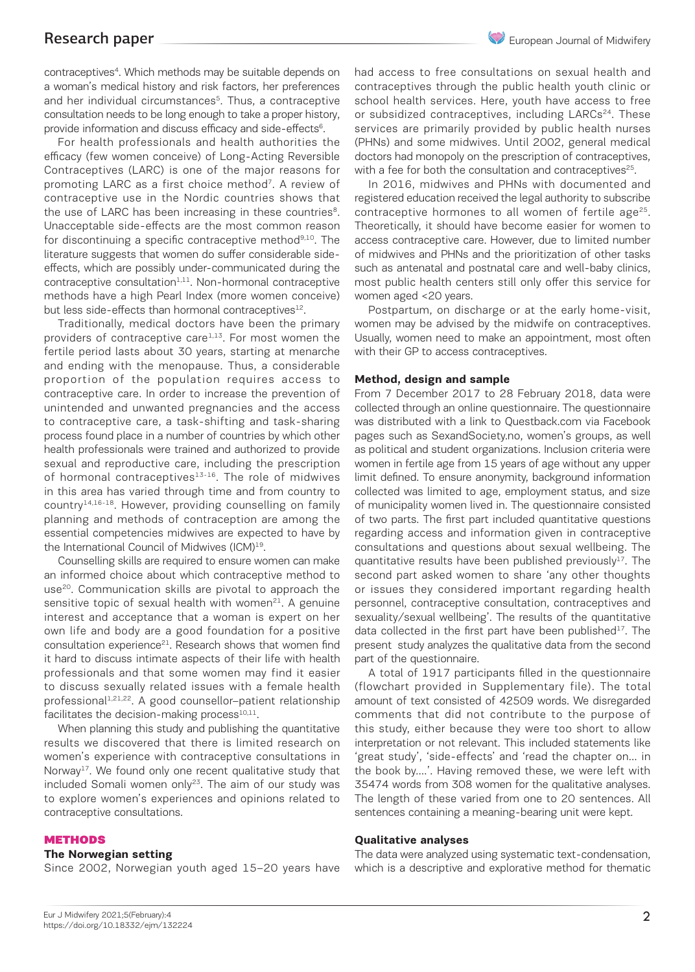contraceptives4. Which methods may be suitable depends on a woman's medical history and risk factors, her preferences and her individual circumstances<sup>5</sup>. Thus, a contraceptive consultation needs to be long enough to take a proper history, provide information and discuss efficacy and side-effects<sup>6</sup>.

For health professionals and health authorities the efficacy (few women conceive) of Long-Acting Reversible Contraceptives (LARC) is one of the major reasons for promoting LARC as a first choice method<sup>7</sup>. A review of contraceptive use in the Nordic countries shows that the use of LARC has been increasing in these countries<sup>8</sup>. Unacceptable side-effects are the most common reason for discontinuing a specific contraceptive method<sup>9,10</sup>. The literature suggests that women do suffer considerable sideeffects, which are possibly under-communicated during the  $control$ contraceptive consultation $1,11$ . Non-hormonal contraceptive methods have a high Pearl Index (more women conceive) but less side-effects than hormonal contraceptives<sup>12</sup>.

Traditionally, medical doctors have been the primary providers of contraceptive care<sup>1,13</sup>. For most women the fertile period lasts about 30 years, starting at menarche and ending with the menopause. Thus, a considerable proportion of the population requires access to contraceptive care. In order to increase the prevention of unintended and unwanted pregnancies and the access to contraceptive care, a task-shifting and task-sharing process found place in a number of countries by which other health professionals were trained and authorized to provide sexual and reproductive care, including the prescription of hormonal contraceptives $13-16$ . The role of midwives in this area has varied through time and from country to country<sup>14,16-18</sup>. However, providing counselling on family planning and methods of contraception are among the essential competencies midwives are expected to have by the International Council of Midwives (ICM)<sup>19</sup>.

Counselling skills are required to ensure women can make an informed choice about which contraceptive method to use<sup>20</sup>. Communication skills are pivotal to approach the sensitive topic of sexual health with women $21$ . A genuine interest and acceptance that a woman is expert on her own life and body are a good foundation for a positive consultation experience<sup>21</sup>. Research shows that women find it hard to discuss intimate aspects of their life with health professionals and that some women may find it easier to discuss sexually related issues with a female health professional<sup>1,21,22</sup>. A good counsellor-patient relationship facilitates the decision-making process $^{10,11}$ .

When planning this study and publishing the quantitative results we discovered that there is limited research on women's experience with contraceptive consultations in Norway<sup>17</sup>. We found only one recent qualitative study that included Somali women only<sup>23</sup>. The aim of our study was to explore women's experiences and opinions related to contraceptive consultations.

#### **METHODS**

#### **The Norwegian setting**

Since 2002, Norwegian youth aged 15–20 years have

had access to free consultations on sexual health and contraceptives through the public health youth clinic or school health services. Here, youth have access to free or subsidized contraceptives, including LARCs<sup>24</sup>. These services are primarily provided by public health nurses (PHNs) and some midwives. Until 2002, general medical doctors had monopoly on the prescription of contraceptives, with a fee for both the consultation and contraceptives<sup>25</sup>.

In 2016, midwives and PHNs with documented and registered education received the legal authority to subscribe contraceptive hormones to all women of fertile age<sup>25</sup>. Theoretically, it should have become easier for women to access contraceptive care. However, due to limited number of midwives and PHNs and the prioritization of other tasks such as antenatal and postnatal care and well-baby clinics, most public health centers still only offer this service for women aged <20 years.

Postpartum, on discharge or at the early home-visit, women may be advised by the midwife on contraceptives. Usually, women need to make an appointment, most often with their GP to access contraceptives.

#### **Method, design and sample**

From 7 December 2017 to 28 February 2018, data were collected through an online questionnaire. The questionnaire was distributed with a link to Questback.com via Facebook pages such as SexandSociety.no, women's groups, as well as political and student organizations. Inclusion criteria were women in fertile age from 15 years of age without any upper limit defined. To ensure anonymity, background information collected was limited to age, employment status, and size of municipality women lived in. The questionnaire consisted of two parts. The first part included quantitative questions regarding access and information given in contraceptive consultations and questions about sexual wellbeing. The quantitative results have been published previously<sup>17</sup>. The second part asked women to share 'any other thoughts or issues they considered important regarding health personnel, contraceptive consultation, contraceptives and sexuality/sexual wellbeing'. The results of the quantitative data collected in the first part have been published $17$ . The present study analyzes the qualitative data from the second part of the questionnaire.

A total of 1917 participants filled in the questionnaire (flowchart provided in Supplementary file). The total amount of text consisted of 42509 words. We disregarded comments that did not contribute to the purpose of this study, either because they were too short to allow interpretation or not relevant. This included statements like 'great study', 'side-effects' and 'read the chapter on… in the book by….'. Having removed these, we were left with 35474 words from 308 women for the qualitative analyses. The length of these varied from one to 20 sentences. All sentences containing a meaning-bearing unit were kept.

#### **Qualitative analyses**

The data were analyzed using systematic text-condensation, which is a descriptive and explorative method for thematic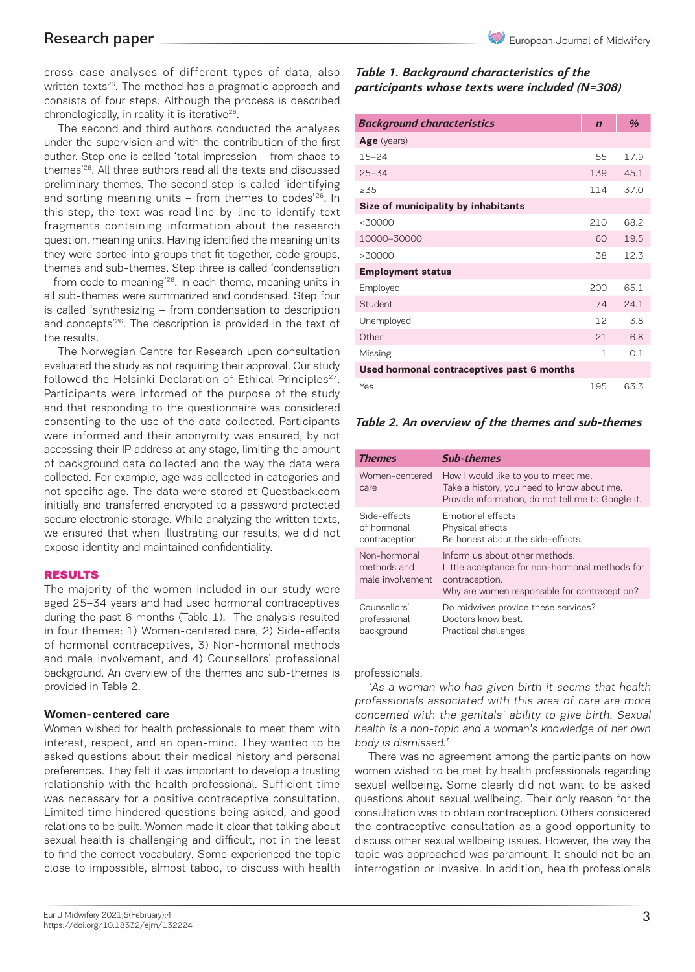cross-case analyses of different types of data, also written texts<sup>26</sup>. The method has a pragmatic approach and consists of four steps. Although the process is described chronologically, in reality it is iterative $26$ .

The second and third authors conducted the analyses under the supervision and with the contribution of the first author. Step one is called 'total impression – from chaos to themes'26. All three authors read all the texts and discussed preliminary themes. The second step is called 'identifying and sorting meaning units  $-$  from themes to codes'<sup>26</sup>. In this step, the text was read line-by-line to identify text fragments containing information about the research question, meaning units. Having identified the meaning units they were sorted into groups that fit together, code groups, themes and sub-themes. Step three is called 'condensation – from code to meaning'26. In each theme, meaning units in all sub-themes were summarized and condensed. Step four is called 'synthesizing – from condensation to description and concepts<sup>'26</sup>. The description is provided in the text of the results.

The Norwegian Centre for Research upon consultation evaluated the study as not requiring their approval. Our study followed the Helsinki Declaration of Ethical Principles<sup>27</sup>. Participants were informed of the purpose of the study and that responding to the questionnaire was considered consenting to the use of the data collected. Participants were informed and their anonymity was ensured, by not accessing their IP address at any stage, limiting the amount of background data collected and the way the data were collected. For example, age was collected in categories and not specific age. The data were stored at Questback.com initially and transferred encrypted to a password protected secure electronic storage. While analyzing the written texts, we ensured that when illustrating our results, we did not expose identity and maintained confidentiality.

#### RESULTS

The majority of the women included in our study were aged 25–34 years and had used hormonal contraceptives during the past 6 months (Table 1). The analysis resulted in four themes: 1) Women-centered care, 2) Side-effects of hormonal contraceptives, 3) Non-hormonal methods and male involvement, and 4) Counsellors' professional background. An overview of the themes and sub-themes is provided in Table 2.

#### **Women-centered care**

Women wished for health professionals to meet them with interest, respect, and an open-mind. They wanted to be asked questions about their medical history and personal preferences. They felt it was important to develop a trusting relationship with the health professional. Sufficient time was necessary for a positive contraceptive consultation. Limited time hindered questions being asked, and good relations to be built. Women made it clear that talking about sexual health is challenging and difficult, not in the least to find the correct vocabulary. Some experienced the topic close to impossible, almost taboo, to discuss with health

## *Table 1. Background characteristics of the participants whose texts were included (N=308)*

| <b>Background characteristics</b>          | $\mathbf n$  | $\frac{a}{b}$ |
|--------------------------------------------|--------------|---------------|
| Age (years)                                |              |               |
| $15 - 24$                                  | 55           | 17.9          |
| $25 - 34$                                  | 139          | 45.1          |
| >35                                        | 114          | 37.0          |
| Size of municipality by inhabitants        |              |               |
| $<$ 30000                                  | 210          | 68.2          |
| 10000-30000                                | 60           | 19.5          |
| >30000                                     | 38           | 12.3          |
| <b>Employment status</b>                   |              |               |
| Employed                                   | 200          | 651           |
| <b>Student</b>                             | 74           | 241           |
| Unemployed                                 | 12           | 3.8           |
| Other                                      | 21           | 6.8           |
| Missing                                    | $\mathbf{1}$ | 0.1           |
| Used hormonal contraceptives past 6 months |              |               |
| Yes                                        | 195          | 63.3          |

### *Table 2. An overview of the themes and sub-themes*

| <b>Themes</b>                                   | <b>Sub-themes</b>                                                                                                                                  |
|-------------------------------------------------|----------------------------------------------------------------------------------------------------------------------------------------------------|
| Women-centered<br>care                          | How I would like to you to meet me.<br>Take a history, you need to know about me.<br>Provide information, do not tell me to Google it.             |
| Side-effects<br>of hormonal<br>contraception    | Emotional effects<br>Physical effects<br>Be honest about the side-effects.                                                                         |
| Non-hormonal<br>methods and<br>male involvement | Inform us about other methods.<br>Little acceptance for non-hormonal methods for<br>contraception.<br>Why are women responsible for contraception? |
| Counsellors'<br>professional<br>background      | Do midwives provide these services?<br>Doctors know best.<br>Practical challenges                                                                  |

professionals.

'As a woman who has given birth it seems that health professionals associated with this area of care are more concerned with the genitals' ability to give birth. Sexual health is a non-topic and a woman's knowledge of her own body is dismissed.'

There was no agreement among the participants on how women wished to be met by health professionals regarding sexual wellbeing. Some clearly did not want to be asked questions about sexual wellbeing. Their only reason for the consultation was to obtain contraception. Others considered the contraceptive consultation as a good opportunity to discuss other sexual wellbeing issues. However, the way the topic was approached was paramount. It should not be an interrogation or invasive. In addition, health professionals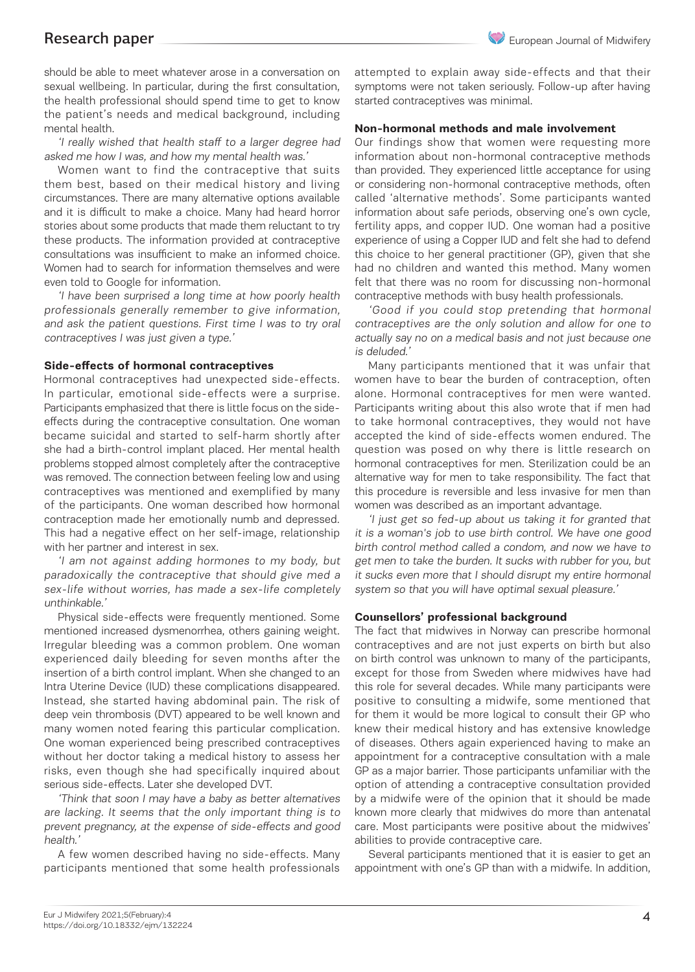should be able to meet whatever arose in a conversation on sexual wellbeing. In particular, during the first consultation, the health professional should spend time to get to know the patient's needs and medical background, including mental health.

'I really wished that health staff to a larger degree had asked me how I was, and how my mental health was.'

Women want to find the contraceptive that suits them best, based on their medical history and living circumstances. There are many alternative options available and it is difficult to make a choice. Many had heard horror stories about some products that made them reluctant to try these products. The information provided at contraceptive consultations was insufficient to make an informed choice. Women had to search for information themselves and were even told to Google for information.

'I have been surprised a long time at how poorly health professionals generally remember to give information, and ask the patient questions. First time I was to try oral contraceptives I was just given a type.'

#### **Side-effects of hormonal contraceptives**

Hormonal contraceptives had unexpected side-effects. In particular, emotional side-effects were a surprise. Participants emphasized that there is little focus on the sideeffects during the contraceptive consultation. One woman became suicidal and started to self-harm shortly after she had a birth-control implant placed. Her mental health problems stopped almost completely after the contraceptive was removed. The connection between feeling low and using contraceptives was mentioned and exemplified by many of the participants. One woman described how hormonal contraception made her emotionally numb and depressed. This had a negative effect on her self-image, relationship with her partner and interest in sex.

'I am not against adding hormones to my body, but paradoxically the contraceptive that should give med a sex-life without worries, has made a sex-life completely unthinkable.'

Physical side-effects were frequently mentioned. Some mentioned increased dysmenorrhea, others gaining weight. Irregular bleeding was a common problem. One woman experienced daily bleeding for seven months after the insertion of a birth control implant. When she changed to an Intra Uterine Device (IUD) these complications disappeared. Instead, she started having abdominal pain. The risk of deep vein thrombosis (DVT) appeared to be well known and many women noted fearing this particular complication. One woman experienced being prescribed contraceptives without her doctor taking a medical history to assess her risks, even though she had specifically inquired about serious side-effects. Later she developed DVT.

'Think that soon I may have a baby as better alternatives are lacking. It seems that the only important thing is to prevent pregnancy, at the expense of side-effects and good health.'

A few women described having no side-effects. Many participants mentioned that some health professionals attempted to explain away side-effects and that their symptoms were not taken seriously. Follow-up after having started contraceptives was minimal.

#### **Non-hormonal methods and male involvement**

Our findings show that women were requesting more information about non-hormonal contraceptive methods than provided. They experienced little acceptance for using or considering non-hormonal contraceptive methods, often called 'alternative methods'. Some participants wanted information about safe periods, observing one's own cycle, fertility apps, and copper IUD. One woman had a positive experience of using a Copper IUD and felt she had to defend this choice to her general practitioner (GP), given that she had no children and wanted this method. Many women felt that there was no room for discussing non-hormonal contraceptive methods with busy health professionals.

'Good if you could stop pretending that hormonal contraceptives are the only solution and allow for one to actually say no on a medical basis and not just because one is deluded.'

Many participants mentioned that it was unfair that women have to bear the burden of contraception, often alone. Hormonal contraceptives for men were wanted. Participants writing about this also wrote that if men had to take hormonal contraceptives, they would not have accepted the kind of side-effects women endured. The question was posed on why there is little research on hormonal contraceptives for men. Sterilization could be an alternative way for men to take responsibility. The fact that this procedure is reversible and less invasive for men than women was described as an important advantage.

'I just get so fed-up about us taking it for granted that it is a woman's job to use birth control. We have one good birth control method called a condom, and now we have to get men to take the burden. It sucks with rubber for you, but it sucks even more that I should disrupt my entire hormonal system so that you will have optimal sexual pleasure.'

#### **Counsellors' professional background**

The fact that midwives in Norway can prescribe hormonal contraceptives and are not just experts on birth but also on birth control was unknown to many of the participants, except for those from Sweden where midwives have had this role for several decades. While many participants were positive to consulting a midwife, some mentioned that for them it would be more logical to consult their GP who knew their medical history and has extensive knowledge of diseases. Others again experienced having to make an appointment for a contraceptive consultation with a male GP as a major barrier. Those participants unfamiliar with the option of attending a contraceptive consultation provided by a midwife were of the opinion that it should be made known more clearly that midwives do more than antenatal care. Most participants were positive about the midwives' abilities to provide contraceptive care.

Several participants mentioned that it is easier to get an appointment with one's GP than with a midwife. In addition,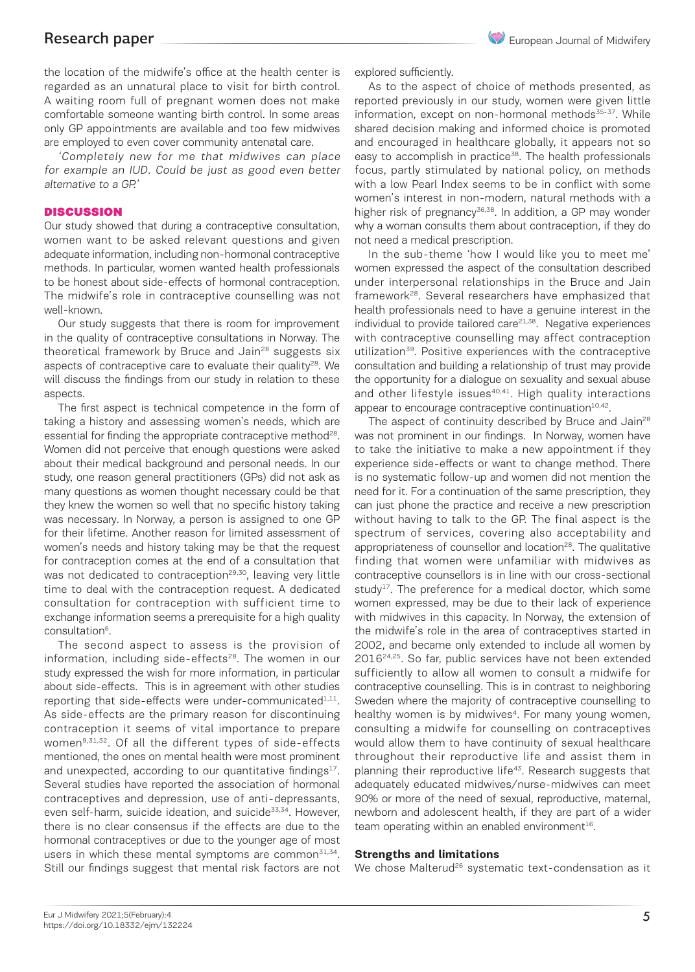the location of the midwife's office at the health center is regarded as an unnatural place to visit for birth control. A waiting room full of pregnant women does not make comfortable someone wanting birth control. In some areas only GP appointments are available and too few midwives are employed to even cover community antenatal care.

'Completely new for me that midwives can place for example an IUD. Could be just as good even better alternative to a GP.'

#### **DISCUSSION**

Our study showed that during a contraceptive consultation, women want to be asked relevant questions and given adequate information, including non-hormonal contraceptive methods. In particular, women wanted health professionals to be honest about side-effects of hormonal contraception. The midwife's role in contraceptive counselling was not well-known.

Our study suggests that there is room for improvement in the quality of contraceptive consultations in Norway. The theoretical framework by Bruce and Jain<sup>28</sup> suggests six aspects of contraceptive care to evaluate their quality<sup>28</sup>. We will discuss the findings from our study in relation to these aspects.

The first aspect is technical competence in the form of taking a history and assessing women's needs, which are essential for finding the appropriate contraceptive method<sup>28</sup>. Women did not perceive that enough questions were asked about their medical background and personal needs. In our study, one reason general practitioners (GPs) did not ask as many questions as women thought necessary could be that they knew the women so well that no specific history taking was necessary. In Norway, a person is assigned to one GP for their lifetime. Another reason for limited assessment of women's needs and history taking may be that the request for contraception comes at the end of a consultation that was not dedicated to contraception<sup>29,30</sup>, leaving very little time to deal with the contraception request. A dedicated consultation for contraception with sufficient time to exchange information seems a prerequisite for a high quality consultation<sup>6</sup>.

The second aspect to assess is the provision of information, including side-effects<sup>28</sup>. The women in our study expressed the wish for more information, in particular about side-effects. This is in agreement with other studies reporting that side-effects were under-communicated $1,11$ . As side-effects are the primary reason for discontinuing contraception it seems of vital importance to prepare women<sup>9,31,32</sup>. Of all the different types of side-effects mentioned, the ones on mental health were most prominent and unexpected, according to our quantitative findings $17$ . Several studies have reported the association of hormonal contraceptives and depression, use of anti-depressants, even self-harm, suicide ideation, and suicide<sup>33,34</sup>. However, there is no clear consensus if the effects are due to the hormonal contraceptives or due to the younger age of most users in which these mental symptoms are common<sup>31,34</sup>. Still our findings suggest that mental risk factors are not explored sufficiently.

As to the aspect of choice of methods presented, as reported previously in our study, women were given little information, except on non-hormonal methods<sup>35-37</sup>. While shared decision making and informed choice is promoted and encouraged in healthcare globally, it appears not so easy to accomplish in practice<sup>38</sup>. The health professionals focus, partly stimulated by national policy, on methods with a low Pearl Index seems to be in conflict with some women's interest in non-modern, natural methods with a higher risk of pregnancy<sup>36,38</sup>. In addition, a GP may wonder why a woman consults them about contraception, if they do not need a medical prescription.

In the sub-theme 'how I would like you to meet me' women expressed the aspect of the consultation described under interpersonal relationships in the Bruce and Jain framework28. Several researchers have emphasized that health professionals need to have a genuine interest in the individual to provide tailored care<sup>21,38</sup>. Negative experiences with contraceptive counselling may affect contraception utilization<sup>39</sup>. Positive experiences with the contraceptive consultation and building a relationship of trust may provide the opportunity for a dialogue on sexuality and sexual abuse and other lifestyle issues<sup>40,41</sup>. High quality interactions appear to encourage contraceptive continuation $10,42$ .

The aspect of continuity described by Bruce and Jain<sup>28</sup> was not prominent in our findings. In Norway, women have to take the initiative to make a new appointment if they experience side-effects or want to change method. There is no systematic follow-up and women did not mention the need for it. For a continuation of the same prescription, they can just phone the practice and receive a new prescription without having to talk to the GP. The final aspect is the spectrum of services, covering also acceptability and appropriateness of counsellor and location<sup>28</sup>. The qualitative finding that women were unfamiliar with midwives as contraceptive counsellors is in line with our cross-sectional study<sup>17</sup>. The preference for a medical doctor, which some women expressed, may be due to their lack of experience with midwives in this capacity. In Norway, the extension of the midwife's role in the area of contraceptives started in 2002, and became only extended to include all women by 201624,25. So far, public services have not been extended sufficiently to allow all women to consult a midwife for contraceptive counselling. This is in contrast to neighboring Sweden where the majority of contraceptive counselling to healthy women is by midwives<sup>4</sup>. For many young women, consulting a midwife for counselling on contraceptives would allow them to have continuity of sexual healthcare throughout their reproductive life and assist them in planning their reproductive life<sup>43</sup>. Research suggests that adequately educated midwives/nurse-midwives can meet 90% or more of the need of sexual, reproductive, maternal, newborn and adolescent health, if they are part of a wider team operating within an enabled environment<sup>16</sup>.

#### **Strengths and limitations**

We chose Malterud<sup>26</sup> systematic text-condensation as it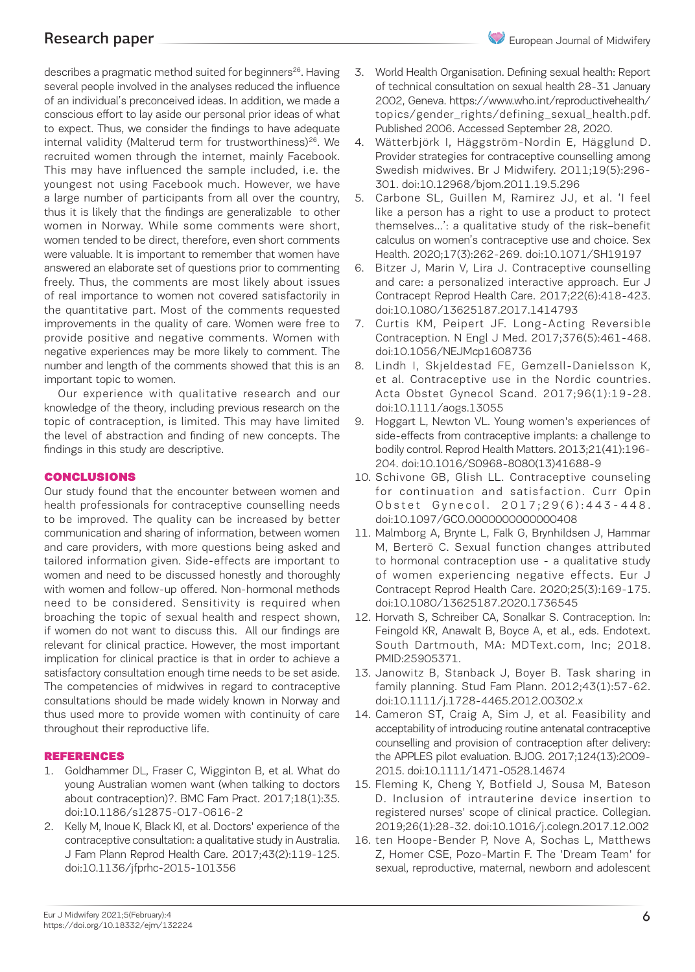describes a pragmatic method suited for beginners<sup>26</sup>. Having several people involved in the analyses reduced the influence of an individual's preconceived ideas. In addition, we made a conscious effort to lay aside our personal prior ideas of what to expect. Thus, we consider the findings to have adequate internal validity (Malterud term for trustworthiness)<sup>26</sup>. We recruited women through the internet, mainly Facebook. This may have influenced the sample included, i.e. the youngest not using Facebook much. However, we have a large number of participants from all over the country, thus it is likely that the findings are generalizable to other women in Norway. While some comments were short, women tended to be direct, therefore, even short comments were valuable. It is important to remember that women have answered an elaborate set of questions prior to commenting freely. Thus, the comments are most likely about issues of real importance to women not covered satisfactorily in the quantitative part. Most of the comments requested improvements in the quality of care. Women were free to provide positive and negative comments. Women with negative experiences may be more likely to comment. The number and length of the comments showed that this is an important topic to women.

Our experience with qualitative research and our knowledge of the theory, including previous research on the topic of contraception, is limited. This may have limited the level of abstraction and finding of new concepts. The findings in this study are descriptive.

#### **CONCLUSIONS**

Our study found that the encounter between women and health professionals for contraceptive counselling needs to be improved. The quality can be increased by better communication and sharing of information, between women and care providers, with more questions being asked and tailored information given. Side-effects are important to women and need to be discussed honestly and thoroughly with women and follow-up offered. Non-hormonal methods need to be considered. Sensitivity is required when broaching the topic of sexual health and respect shown, if women do not want to discuss this. All our findings are relevant for clinical practice. However, the most important implication for clinical practice is that in order to achieve a satisfactory consultation enough time needs to be set aside. The competencies of midwives in regard to contraceptive consultations should be made widely known in Norway and thus used more to provide women with continuity of care throughout their reproductive life.

#### REFERENCES

- 1. Goldhammer DL, Fraser C, Wigginton B, et al. What do young Australian women want (when talking to doctors about contraception)?. BMC Fam Pract. 2017;18(1):35. doi:10.1186/s12875-017-0616-2
- 2. Kelly M, Inoue K, Black KI, et al. Doctors' experience of the contraceptive consultation: a qualitative study in Australia. J Fam Plann Reprod Health Care. 2017;43(2):119-125. doi:10.1136/jfprhc-2015-101356
- 3. World Health Organisation. Defining sexual health: Report of technical consultation on sexual health 28-31 January 2002, Geneva. https://www.who.int/reproductivehealth/ topics/gender\_rights/defining\_sexual\_health.pdf. Published 2006. Accessed September 28, 2020.
- 4. Wätterbjörk I, Häggström-Nordin E, Hägglund D. Provider strategies for contraceptive counselling among Swedish midwives. Br J Midwifery. 2011;19(5):296- 301. doi:10.12968/bjom.2011.19.5.296
- 5. Carbone SL, Guillen M, Ramirez JJ, et al. 'I feel like a person has a right to use a product to protect themselves…': a qualitative study of the risk–benefit calculus on women's contraceptive use and choice. Sex Health. 2020;17(3):262-269. doi:10.1071/SH19197
- 6. Bitzer J, Marin V, Lira J. Contraceptive counselling and care: a personalized interactive approach. Eur J Contracept Reprod Health Care. 2017;22(6):418-423. doi:10.1080/13625187.2017.1414793
- 7. Curtis KM, Peipert JF. Long-Acting Reversible Contraception. N Engl J Med. 2017;376(5):461-468. doi:10.1056/NEJMcp1608736
- 8. Lindh I, Skjeldestad FE, Gemzell-Danielsson K, et al. Contraceptive use in the Nordic countries. Acta Obstet Gynecol Scand. 2017;96(1):19-28. doi:10.1111/aogs.13055
- 9. Hoggart L, Newton VL. Young women's experiences of side-effects from contraceptive implants: a challenge to bodily control. Reprod Health Matters. 2013;21(41):196- 204. doi:10.1016/S0968-8080(13)41688-9
- 10. Schivone GB, Glish LL. Contraceptive counseling for continuation and satisfaction. Curr Opin Obstet Gynecol. 2017;29(6):443-448. doi:10.1097/GCO.0000000000000408
- 11. Malmborg A, Brynte L, Falk G, Brynhildsen J, Hammar M, Berterö C. Sexual function changes attributed to hormonal contraception use - a qualitative study of women experiencing negative effects. Eur J Contracept Reprod Health Care. 2020;25(3):169-175. doi:10.1080/13625187.2020.1736545
- 12. Horvath S, Schreiber CA, Sonalkar S. Contraception. In: Feingold KR, Anawalt B, Boyce A, et al., eds. Endotext. South Dartmouth, MA: MDText.com, Inc; 2018. PMID:25905371.
- 13. Janowitz B, Stanback J, Boyer B. Task sharing in family planning. Stud Fam Plann. 2012;43(1):57-62. doi:10.1111/j.1728-4465.2012.00302.x
- 14. Cameron ST, Craig A, Sim J, et al. Feasibility and acceptability of introducing routine antenatal contraceptive counselling and provision of contraception after delivery: the APPLES pilot evaluation. BJOG. 2017;124(13):2009- 2015. doi:10.1111/1471-0528.14674
- 15. Fleming K, Cheng Y, Botfield J, Sousa M, Bateson D. Inclusion of intrauterine device insertion to registered nurses' scope of clinical practice. Collegian. 2019;26(1):28-32. doi:10.1016/j.colegn.2017.12.002
- 16. ten Hoope-Bender P, Nove A, Sochas L, Matthews Z, Homer CSE, Pozo-Martin F. The 'Dream Team' for sexual, reproductive, maternal, newborn and adolescent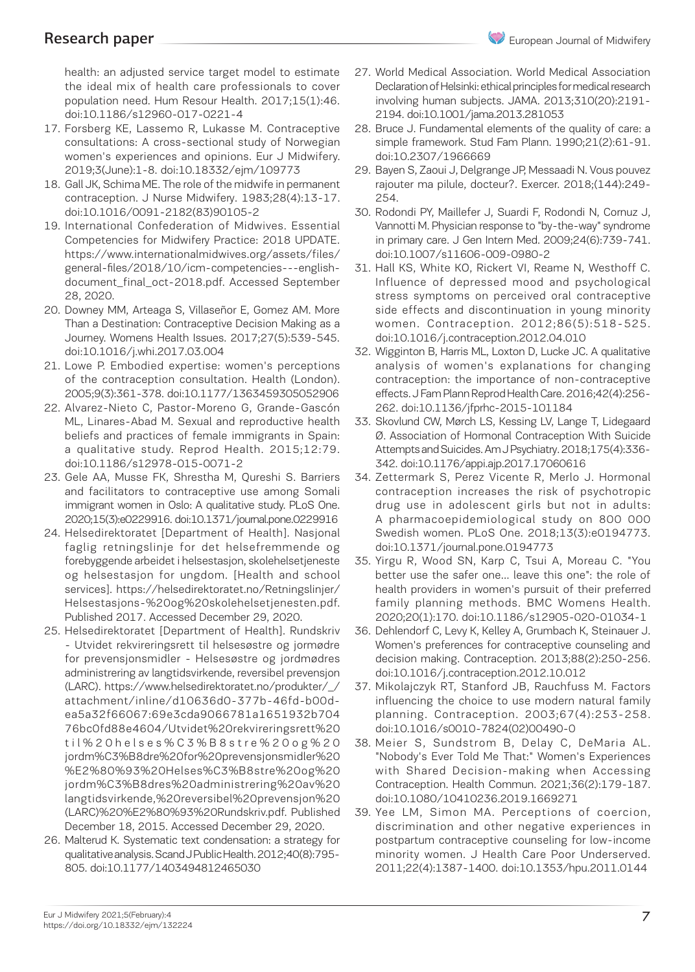health: an adjusted service target model to estimate the ideal mix of health care professionals to cover population need. Hum Resour Health. 2017;15(1):46. doi:10.1186/s12960-017-0221-4

- 17. Forsberg KE, Lassemo R, Lukasse M. Contraceptive consultations: A cross-sectional study of Norwegian women's experiences and opinions. Eur J Midwifery. 2019;3(June):1-8. doi:10.18332/ejm/109773
- 18. Gall JK, Schima ME. The role of the midwife in permanent contraception. J Nurse Midwifery. 1983;28(4):13-17. doi:10.1016/0091-2182(83)90105-2
- 19. International Confederation of Midwives. Essential Competencies for Midwifery Practice: 2018 UPDATE. https://www.internationalmidwives.org/assets/files/ general-files/2018/10/icm-competencies---englishdocument\_final\_oct-2018.pdf. Accessed September 28, 2020.
- 20. Downey MM, Arteaga S, Villaseñor E, Gomez AM. More Than a Destination: Contraceptive Decision Making as a Journey. Womens Health Issues. 2017;27(5):539-545. doi:10.1016/j.whi.2017.03.004
- 21. Lowe P. Embodied expertise: women's perceptions of the contraception consultation. Health (London). 2005;9(3):361-378. doi:10.1177/1363459305052906
- 22. Alvarez-Nieto C, Pastor-Moreno G, Grande-Gascón ML, Linares-Abad M. Sexual and reproductive health beliefs and practices of female immigrants in Spain: a qualitative study. Reprod Health. 2015;12:79. doi:10.1186/s12978-015-0071-2
- 23. Gele AA, Musse FK, Shrestha M, Qureshi S. Barriers and facilitators to contraceptive use among Somali immigrant women in Oslo: A qualitative study. PLoS One. 2020;15(3):e0229916. doi:10.1371/journal.pone.0229916
- 24. Helsedirektoratet [Department of Health]. Nasjonal faglig retningslinje for det helsefremmende og forebyggende arbeidet i helsestasjon, skolehelsetjeneste og helsestasjon for ungdom. [Health and school services]. https://helsedirektoratet.no/Retningslinjer/ Helsestasjons-%20og%20skolehelsetjenesten.pdf. Published 2017. Accessed December 29, 2020.
- 25. Helsedirektoratet [Department of Health]. Rundskriv - Utvidet rekvireringsrett til helsesøstre og jormødre for prevensjonsmidler - Helsesøstre og jordmødres administrering av langtidsvirkende, reversibel prevensjon (LARC). https://www.helsedirektoratet.no/produkter/\_/ attachment/inline/d10636d0-377b-46fd-b00dea5a32f66067:69e3cda9066781a1651932b704 76bc0fd88e4604/Utvidet%20rekvireringsrett%20 til%20helses%C3%B8stre%20og%20 jordm%C3%B8dre%20for%20prevensjonsmidler%20 %E2%80%93%20Helses%C3%B8stre%20og%20 jordm%C3%B8dres%20administrering%20av%20 langtidsvirkende,%20reversibel%20prevensjon%20 (LARC)%20%E2%80%93%20Rundskriv.pdf. Published December 18, 2015. Accessed December 29, 2020.
- 26. Malterud K. Systematic text condensation: a strategy for qualitative analysis. Scand J Public Health. 2012;40(8):795- 805. doi:10.1177/1403494812465030
- 27. World Medical Association. World Medical Association Declaration of Helsinki: ethical principles for medical research involving human subjects. JAMA. 2013;310(20):2191- 2194. doi:10.1001/jama.2013.281053
- 28. Bruce J. Fundamental elements of the quality of care: a simple framework. Stud Fam Plann. 1990;21(2):61-91. doi:10.2307/1966669
- 29. Bayen S, Zaoui J, Delgrange JP, Messaadi N. Vous pouvez rajouter ma pilule, docteur?. Exercer. 2018;(144):249- 254.
- 30. Rodondi PY, Maillefer J, Suardi F, Rodondi N, Cornuz J, Vannotti M. Physician response to "by-the-way" syndrome in primary care. J Gen Intern Med. 2009;24(6):739-741. doi:10.1007/s11606-009-0980-2
- 31. Hall KS, White KO, Rickert VI, Reame N, Westhoff C. Influence of depressed mood and psychological stress symptoms on perceived oral contraceptive side effects and discontinuation in young minority women. Contraception. 2012;86(5):518-525. doi:10.1016/j.contraception.2012.04.010
- 32. Wigginton B, Harris ML, Loxton D, Lucke JC. A qualitative analysis of women's explanations for changing contraception: the importance of non-contraceptive effects. J Fam Plann Reprod Health Care. 2016;42(4):256- 262. doi:10.1136/jfprhc-2015-101184
- 33. Skovlund CW, Mørch LS, Kessing LV, Lange T, Lidegaard Ø. Association of Hormonal Contraception With Suicide Attempts and Suicides. Am J Psychiatry. 2018;175(4):336- 342. doi:10.1176/appi.ajp.2017.17060616
- 34. Zettermark S, Perez Vicente R, Merlo J. Hormonal contraception increases the risk of psychotropic drug use in adolescent girls but not in adults: A pharmacoepidemiological study on 800 000 Swedish women. PLoS One. 2018;13(3):e0194773. doi:10.1371/journal.pone.0194773
- 35. Yirgu R, Wood SN, Karp C, Tsui A, Moreau C. "You better use the safer one… leave this one": the role of health providers in women's pursuit of their preferred family planning methods. BMC Womens Health. 2020;20(1):170. doi:10.1186/s12905-020-01034-1
- 36. Dehlendorf C, Levy K, Kelley A, Grumbach K, Steinauer J. Women's preferences for contraceptive counseling and decision making. Contraception. 2013;88(2):250-256. doi:10.1016/j.contraception.2012.10.012
- 37. Mikolajczyk RT, Stanford JB, Rauchfuss M. Factors influencing the choice to use modern natural family planning. Contraception. 2003;67(4):253-258. doi:10.1016/s0010-7824(02)00490-0
- 38. Meier S, Sundstrom B, Delay C, DeMaria AL. "Nobody's Ever Told Me That:" Women's Experiences with Shared Decision-making when Accessing Contraception. Health Commun. 2021;36(2):179-187. doi:10.1080/10410236.2019.1669271
- 39. Yee LM, Simon MA. Perceptions of coercion, discrimination and other negative experiences in postpartum contraceptive counseling for low-income minority women. J Health Care Poor Underserved. 2011;22(4):1387-1400. doi:10.1353/hpu.2011.0144